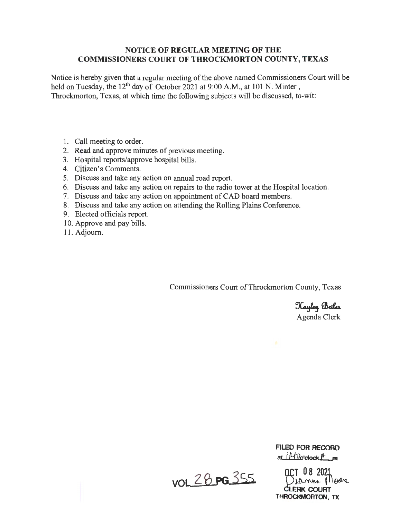## **NOTICE OF REGULAR MEETING OF THE COMMISSIONERS COURT OF THROCKMORTON COUNTY, TEXAS**

Notice is hereby given that a regular meeting of the above named Commissioners Court will be held on Tuesday, the 12<sup>th</sup> day of October 2021 at 9:00 A.M., at 101 N. Minter, Throckmorton, Texas, at which time the following subjects will be discussed, to-wit:

- 1. Call meeting to order.
- 2. Read and approve minutes of previous meeting.
- 3. Hospital reports/approve hospital bills.
- 4. Citizen's Comments.
- 5. Discuss and take any action on annual road report.
- 6. Discuss and take any action on repairs to the radio tower at the Hospital location.
- 7. Discuss and take any action on appointment of CAD board members.
- 8. Discuss and take any action on attending the Rolling Plains Conference.
- 9. Elected officials report.
- 10. Approve and pay bills.
- 11. Adjourn.

Commissioners Court of Throckmorton County, Texas

Kayley Briles Agenda Clerk

VOL 28 PG 355

**FILED FOR RECORD**   $\alpha$ i  $\frac{1}{2}$ <sup>o</sup>ciock<sup> $\beta$ </sup> m

OCT 08 2021<br>Diamme Mode<br>CLEERK COURT **THROCKMOFITON, TX**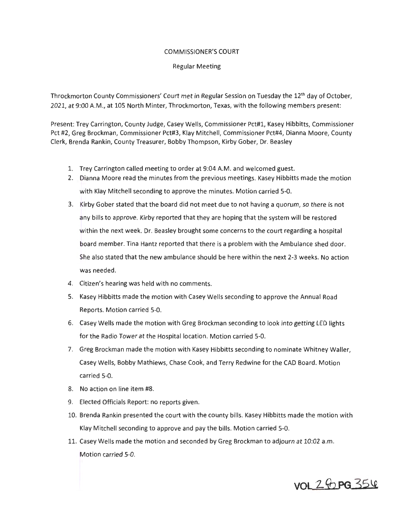#### COMMISSIONER'S COURT

#### Regular Meeting

Throckmorton County Commissioners' Court met in Regular Session on Tuesday the 12<sup>th</sup> day of October, 2021, at 9:00 A.M., at 105 North Minter, Throckmorton, Texas, with the following members present:

Present: Trey Carrington, County Judge, Casey Wells, Commissioner Pct#l, Kasey Hibbitts, Commissioner Pct #2, Greg Brockman, Commissioner Pct#3, Klay Mitchell, Commissioner Pct#4, Dianna Moore, County Clerk, Brenda Rankin, County Treasurer, Bobby Thompson, Kirby Gober, Dr. Beasley

- 1. Trey Carrington called meeting to order at 9:04 A.M. and welcomed guest.
- 2. Dianna Moore read the minutes from the previous meetings. Kasey Hibbitts made the motion with Klay Mitchell seconding to approve the minutes. Motion carried 5-0.
- 3. Kirby Gober stated that the board did not meet due to not having a quorum, so there is not any bills to approve. Kirby reported that they are hoping that the system will be restored within the next week. Dr. Beasley brought some concerns to the court regarding a hospital board member. Tina Hantz reported that there is a problem with the Ambulance shed door. She also stated that the new ambulance should be here within the next 2-3 weeks. No action was needed.
- 4. Citizen's hearing was held with no comments.
- 5. Kasey Hibbitts made the motion with Casey Wells seconding to approve the Annual Road Reports. Motion carried 5-0.
- 6. Casey Wells made the motion with Greg Brockman seconding to look into getting LED lights for the Radio Tower at the Hospital location. Motion carried 5-0.
- 7. Greg Brockman made the motion with Kasey Hibbitts seconding to nominate Whitney Waller, Casey Wells, Bobby Mathiews, Chase Cook, and Terry Redwine for the CAD Board. Motion carried 5-0.
- 8. No action on line item #8.
- 9. Elected Officials Report: no reports given.
- 10. Brenda Rankin presented the court with the county bills. Kasey Hibbitts made the motion with Klay Mitchell seconding to approve and pay the bills. Motion carried 5-0.
- 11. Casey Wells made the motion and seconded by Greg Brockman to adjourn at 10:02 a.m. Motion carried 5-0.

**vol** 2 8 pg 35 4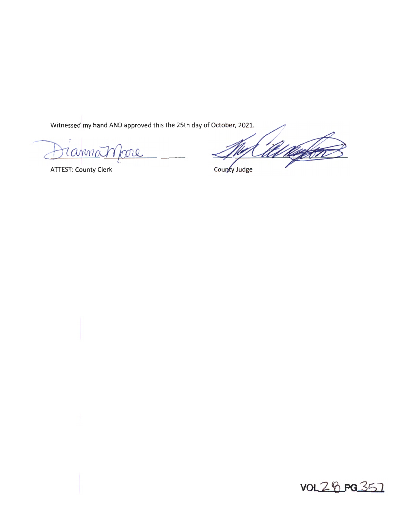Witnessed my hand AND approved this the 25th day of October, 2021.

Tanna ml

**ATTEST: County Clerk** 

<u>Kanf</u>

County Judge

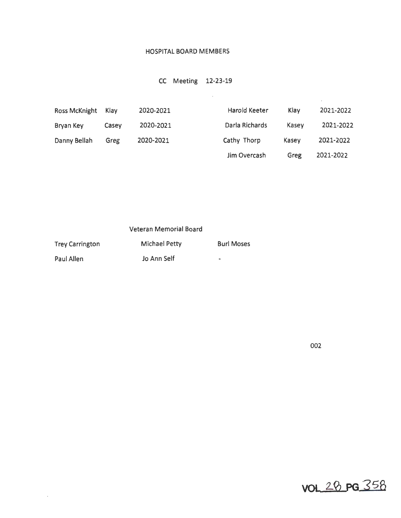### HOSPITAL BOARD MEMBERS

# CC Meeting 12-23-19

| Bryan Key    | Casey | 2020-2021 | Darla Richards | Kasev | 2021-2022 |
|--------------|-------|-----------|----------------|-------|-----------|
| Danny Bellah | Greg  | 2020-2021 | Cathy Thorp    | Kasey | 2021-2022 |
|              |       |           | Jim Overcash   | Greg  | 2021-2022 |

 $\mathcal{L}^{\mathcal{L}}(\mathcal{L}^{\mathcal{L}}(\mathcal{L}^{\mathcal{L}}))$ 

|  | Veteran Memorial Board |  |
|--|------------------------|--|
|--|------------------------|--|

| <b>Trey Carrington</b> | <b>Michael Petty</b> | <b>Burl Moses</b> |
|------------------------|----------------------|-------------------|
| Paul Allen             | Jo Ann Self          | ۰                 |

 $\sim 10^{-1}$ 

002

 $\sim 10^{-1}$ 

vol 28 pg 358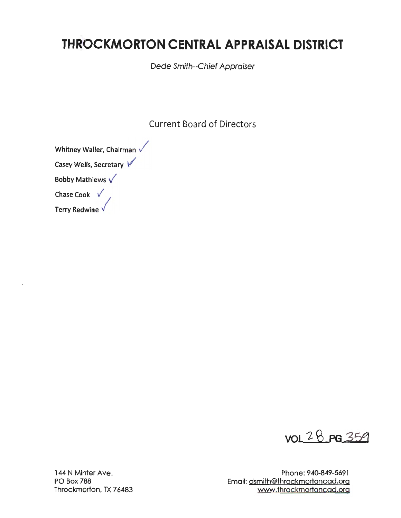# **THROCKMORTON CENTRAL APPRAISAL DISTRICT**

Dede Smith-Chief Appraiser

Current Board of Directors

Whitney Waller, Chairman Casey Wells, Secretary *V'*  Bobby Mathiews  $\sqrt{}$ Chase Cook  $\sqrt{}$ 

Terry Redwine  $\sqrt{}$ 



144 N Minter Ave. PO Box 788 Throckmorton, TX 76483

Phone: 940-849-5691 Email: dsmith@throckmortoncad.org www.throckmortoncad.org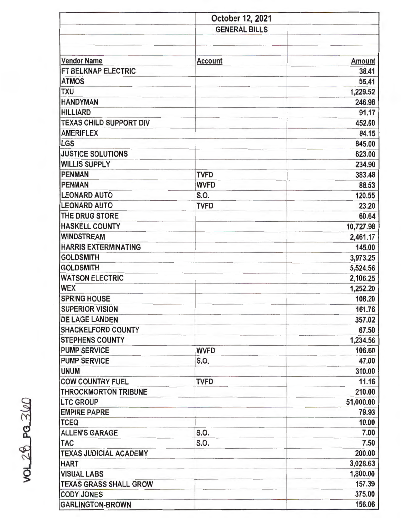|                                | October 12, 2021     |               |
|--------------------------------|----------------------|---------------|
|                                | <b>GENERAL BILLS</b> |               |
|                                |                      |               |
|                                |                      |               |
| <b>Vendor Name</b>             | <b>Account</b>       | <b>Amount</b> |
| FT BELKNAP ELECTRIC            |                      | 38.41         |
| <b>ATMOS</b>                   |                      | 55.41         |
| <b>TXU</b>                     |                      | 1,229.52      |
| <b>HANDYMAN</b>                |                      | 246.98        |
| <b>HILLIARD</b>                |                      | 91.17         |
| <b>TEXAS CHILD SUPPORT DIV</b> |                      | 452.00        |
| <b>AMERIFLEX</b>               |                      | 84.15         |
| <b>LGS</b>                     |                      | 845.00        |
| <b>JUSTICE SOLUTIONS</b>       |                      | 623.00        |
| <b>WILLIS SUPPLY</b>           |                      | 234.90        |
| <b>PENMAN</b>                  | <b>TVFD</b>          | 383.48        |
| <b>PENMAN</b>                  | <b>WVFD</b>          | 88.53         |
| <b>LEONARD AUTO</b>            | S.O.                 | 120.55        |
| <b>LEONARD AUTO</b>            | <b>TVFD</b>          | 23.20         |
| THE DRUG STORE                 |                      | 60.64         |
| <b>HASKELL COUNTY</b>          |                      | 10,727.98     |
| <b>WINDSTREAM</b>              |                      | 2,461.17      |
| <b>HARRIS EXTERMINATING</b>    |                      | 145.00        |
| <b>GOLDSMITH</b>               |                      | 3,973.25      |
| <b>GOLDSMITH</b>               |                      | 5,524.56      |
| <b>WATSON ELECTRIC</b>         |                      | 2,106.25      |
| <b>WEX</b>                     |                      | 1,252.20      |
| <b>SPRING HOUSE</b>            |                      | 108.20        |
| <b>SUPERIOR VISION</b>         |                      | 161.76        |
| <b>DE LAGE LANDEN</b>          |                      | 357.02        |
| <b>SHACKELFORD COUNTY</b>      |                      | 67.50         |
| <b>STEPHENS COUNTY</b>         |                      | 1,234.56      |
| <b>PUMP SERVICE</b>            | <b>WVFD</b>          | 106.60        |
| <b>PUMP SERVICE</b>            | S.O.                 | 47.00         |
| <b>UNUM</b>                    |                      | 310.00        |
| <b>COW COUNTRY FUEL</b>        | <b>TVFD</b>          | 11.16         |
| <b>THROCKMORTON TRIBUNE</b>    |                      | 210.00        |
| <b>LTC GROUP</b>               |                      | 51,000.00     |
| <b>EMPIRE PAPRE</b>            |                      | 79.93         |
| <b>TCEQ</b>                    |                      | 10.00         |
| <b>ALLEN'S GARAGE</b>          | S.O.                 | 7.00          |
| <b>TAC</b>                     | S.O.                 | 7.50          |
| <b>TEXAS JUDICIAL ACADEMY</b>  |                      | 200.00        |
| <b>HART</b>                    |                      | 3,028.63      |
| <b>VISUAL LABS</b>             |                      | 1,800.00      |
| <b>TEXAS GRASS SHALL GROW</b>  |                      | 157.39        |
| <b>CODY JONES</b>              |                      | 375.00        |
| <b>GARLINGTON-BROWN</b>        |                      | 156.06        |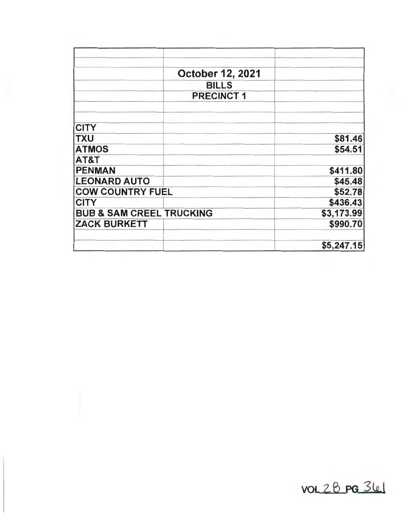|                                     | <b>October 12, 2021</b> |            |
|-------------------------------------|-------------------------|------------|
|                                     | <b>BILLS</b>            |            |
|                                     | <b>PRECINCT 1</b>       |            |
|                                     |                         |            |
| <b>CITY</b>                         |                         |            |
| <b>TXU</b>                          |                         | \$81.46    |
| <b>ATMOS</b>                        |                         | \$54.51    |
| AT&T                                |                         |            |
| <b>PENMAN</b>                       |                         | \$411.80   |
| <b>LEONARD AUTO</b>                 |                         | \$45.48    |
| <b>COW COUNTRY FUEL</b>             |                         | \$52.78    |
| <b>CITY</b>                         |                         | \$436.43   |
| <b>BUB &amp; SAM CREEL TRUCKING</b> |                         | \$3,173.99 |
| <b>ZACK BURKETT</b>                 |                         | \$990.70   |
|                                     |                         | \$5,247.15 |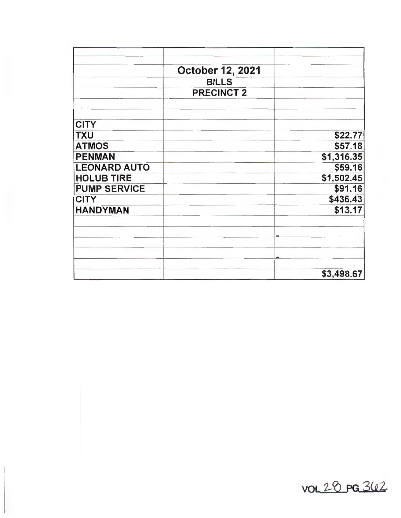|                     | October 12, 2021  |            |
|---------------------|-------------------|------------|
|                     |                   |            |
|                     | <b>BILLS</b>      |            |
|                     | <b>PRECINCT 2</b> |            |
| <b>CITY</b>         |                   |            |
| <b>TXU</b>          |                   | \$22.77    |
| <b>ATMOS</b>        |                   | \$57.18    |
| <b>PENMAN</b>       |                   | \$1,316.35 |
| <b>LEONARD AUTO</b> |                   | \$59.16    |
| <b>HOLUB TIRE</b>   |                   | \$1,502.45 |
| <b>PUMP SERVICE</b> |                   | \$91.16    |
| <b>CITY</b>         |                   | \$436.43   |
| <b>HANDYMAN</b>     |                   | \$13.17    |
|                     |                   |            |
|                     |                   |            |
|                     |                   | \$3,498.67 |

vol 20 pg 362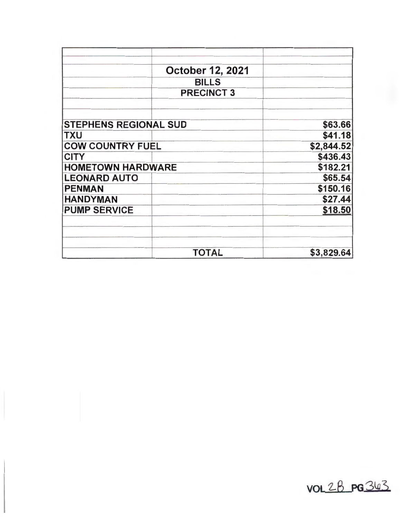|                              | October 12, 2021  |            |
|------------------------------|-------------------|------------|
|                              | <b>BILLS</b>      |            |
|                              | <b>PRECINCT 3</b> |            |
|                              |                   |            |
| <b>STEPHENS REGIONAL SUD</b> |                   | \$63.66    |
| <b>TXU</b>                   |                   | \$41.18    |
| <b>COW COUNTRY FUEL</b>      |                   | \$2,844.52 |
| <b>CITY</b>                  |                   | \$436.43   |
| <b>HOMETOWN HARDWARE</b>     |                   | \$182.21   |
| <b>LEONARD AUTO</b>          |                   | \$65.54    |
| <b>PENMAN</b>                |                   | \$150.16   |
| <b>HANDYMAN</b>              |                   | \$27.44    |
| <b>PUMP SERVICE</b>          |                   | \$18.50    |
|                              |                   |            |
|                              | <b>TOTAL</b>      | \$3,829.64 |

 $vol2B$   $PG343$